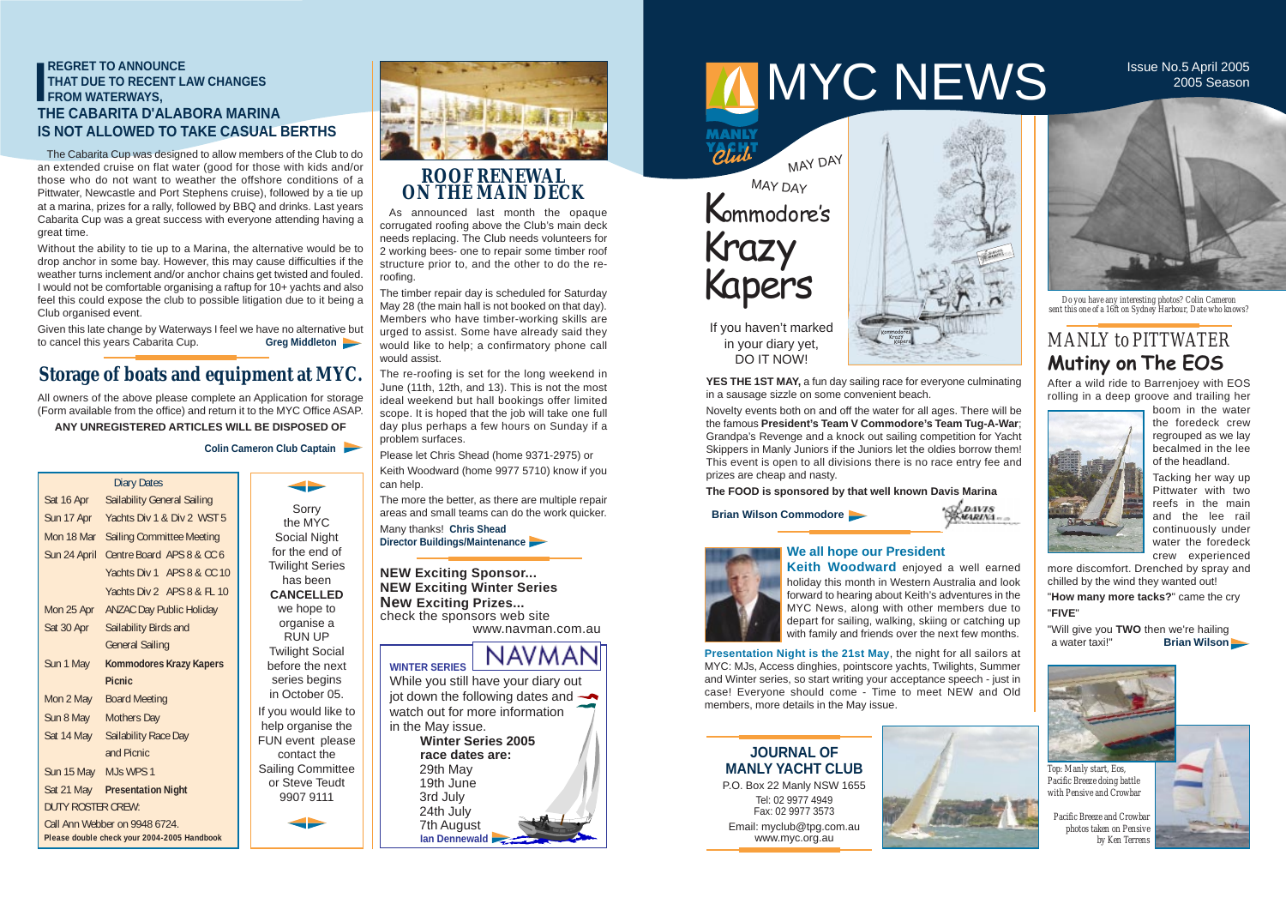

#### **JOURNAL OF MANLY YACHT CLUB**

P.O. Box 22 Manly NSW 1655 Tel: 02 9977 4949 Fax: 02 9977 3573 Email: myclub@tpg.com.au www.myc.org.au



### **We all hope our President**

**Keith Woodward** enjoyed a well earned holiday this month in Western Australia and look forward to hearing about Keith's adventures in the MYC News, along with other members due to depart for sailing, walking, skiing or catching up with family and friends over the next few months.

# Kommodore's Krazy Kapers MAY DAY

MAY DAY

YES THE 1ST MAY, a fun day sailing race for everyone culminating in a sausage sizzle on some convenient beach.

**Presentation Night is the 21st May**, the night for all sailors at MYC: MJs, Access dinghies, pointscore yachts, Twilights, Summer and Winter series, so start writing your acceptance speech - just in case! Everyone should come - Time to meet NEW and Old members, more details in the May issue.

**Brian Wilson Commodore**



#### **IREGRET TO ANNOUN<br>
THAT DUE TO RECEN<br>
FROM WATERWAYS,<br>
TUE OLD LOITA DIA! REGRET TO ANNOUNCE THAT DUE TO RECENT LAW CHANGES THE CABARITA D'ALABORA MARINA IS NOT ALLOWED TO TAKE CASUAL BERTHS**

# Issue No.5 April 2005





If you haven't marked in your diary yet, DO IT NOW!

Novelty events both on and off the water for all ages. There will be the famous **President's Team V Commodore's Team Tug-A-War**; Grandpa's Revenge and a knock out sailing competition for Yacht Skippers in Manly Juniors if the Juniors let the oldies borrow them! This event is open to all divisions there is no race entry fee and prizes are cheap and nasty.

**The FOOD is sponsored by that well known Davis Marina**

The Cabarita Cup was designed to allow members of the Club to do an extended cruise on flat water (good for those with kids and/or those who do not want to weather the offshore conditions of a Pittwater, Newcastle and Port Stephens cruise), followed by a tie up at a marina, prizes for a rally, followed by BBQ and drinks. Last years Cabarita Cup was a great success with everyone attending having a great time.

Without the ability to tie up to a Marina, the alternative would be to drop anchor in some bay. However, this may cause difficulties if the weather turns inclement and/or anchor chains get twisted and fouled. I would not be comfortable organising a raftup for 10+ yachts and also feel this could expose the club to possible litigation due to it being a Club organised event.

Given this late change by Waterways I feel we have no alternative but to cancel this years Cabarita Cup. **Greg Middleton** 



# **MINYC NEWS** Issue No.5 April 2005

MANLY

#### **ROOF RENEWAL ON THE MAIN DECK**

As announced last month the opaque corrugated roofing above the Club's main deck needs replacing. The Club needs volunteers for 2 working bees- one to repair some timber roof structure prior to, and the other to do the reroofing.

The timber repair day is scheduled for Saturday May 28 (the main hall is not booked on that day). Members who have timber-working skills are urged to assist. Some have already said they would like to help; a confirmatory phone call would assist.

The re-roofing is set for the long weekend in June (11th, 12th, and 13). This is not the most ideal weekend but hall bookings offer limited scope. It is hoped that the job will take one full day plus perhaps a few hours on Sunday if a problem surfaces.

Please let Chris Shead (home 9371-2975) or Keith Woodward (home 9977 5710) know if you can help.

The more the better, as there are multiple repair areas and small teams can do the work quicker.

Many thanks! **Chris Shead Director Buildings/Maintenance**

### **Storage of boats and equipment at MYC.**

All owners of the above please complete an Application for storage (Form available from the office) and return it to the MYC Office ASAP.

**ANY UNREGISTERED ARTICLES WILL BE DISPOSED OF**

**Colin Cameron Club Captain**

|                          | <b>Diary Dates</b>                          |                                           |
|--------------------------|---------------------------------------------|-------------------------------------------|
| Sat 16 Apr               | <b>Sailability General Sailing</b>          | Sorry                                     |
| Sun 17 Apr               | Yachts Div 1 & Div 2 WST 5                  | the MYC                                   |
| Mon 18 Mar               | <b>Sailing Committee Meeting</b>            | Social Night                              |
| Sun 24 April             | Centre Board APS 8 & CC 6                   | for the end of                            |
|                          | Yachts Div 1 APS 8 & CC 10                  | <b>Twilight Series</b>                    |
|                          |                                             | has been                                  |
|                          | Yachts Div 2 APS 8 & FL 10                  | <b>CANCELLED</b>                          |
| Mon 25 Apr               | <b>ANZAC Day Public Holiday</b>             | we hope to                                |
| Sat 30 Apr               | Sailability Birds and                       | organise a                                |
|                          | <b>General Sailing</b>                      | <b>RUN UP</b>                             |
| Sun 1 May                | <b>Kommodores Krazy Kapers</b>              | <b>Twilight Social</b><br>before the next |
|                          | <b>Picnic</b>                               | series begins                             |
| Mon 2 May                | <b>Board Meeting</b>                        | in October 05.                            |
| Sun 8 May                | <b>Mothers Day</b>                          | If you would like to                      |
|                          |                                             | help organise the                         |
| Sat 14 May               | <b>Sailability Race Day</b>                 | FUN event please                          |
|                          | and Picnic                                  | contact the                               |
| Sun 15 May               | MJs WPS 1                                   | <b>Sailing Committee</b>                  |
|                          | Sat 21 May Presentation Night               | or Steve Teudt<br>9907 9111               |
| <b>DUTY ROSTER CREW:</b> |                                             |                                           |
|                          | Call Ann Webber on 9948 6724.               |                                           |
|                          | Please double check your 2004-2005 Handbook |                                           |



*Do you have any interesting photos? Colin Cameron sent this one of a 16ft on Sydney Harbour, Date who knows?*

**NEW Exciting Sponsor... NEW Exciting Winter Series New Exciting Prizes...** check the sponsors web site www.navman.com.au



*Top: Manly start, Eos, Pacific Breeze doing battle with Pensive and Crowbar*

*Pacific Breeze and Crowbar photos taken on Pensive by Ken Terrens*



# *MANLY to PITTWATER*  **Mutiny on The EOS**

After a wild ride to Barrenjoey with EOS rolling in a deep groove and trailing her



boom in the water the foredeck crew regrouped as we lay becalmed in the lee of the headland.

Tacking her way up Pittwater with two reefs in the main and the lee rail continuously under water the foredeck crew experienced

more discomfort. Drenched by spray and chilled by the wind they wanted out!

"**How many more tacks?**" came the cry "**FIVE**"

"Will give you **TWO** then we're hailing a water taxi!" **Brian Wilson**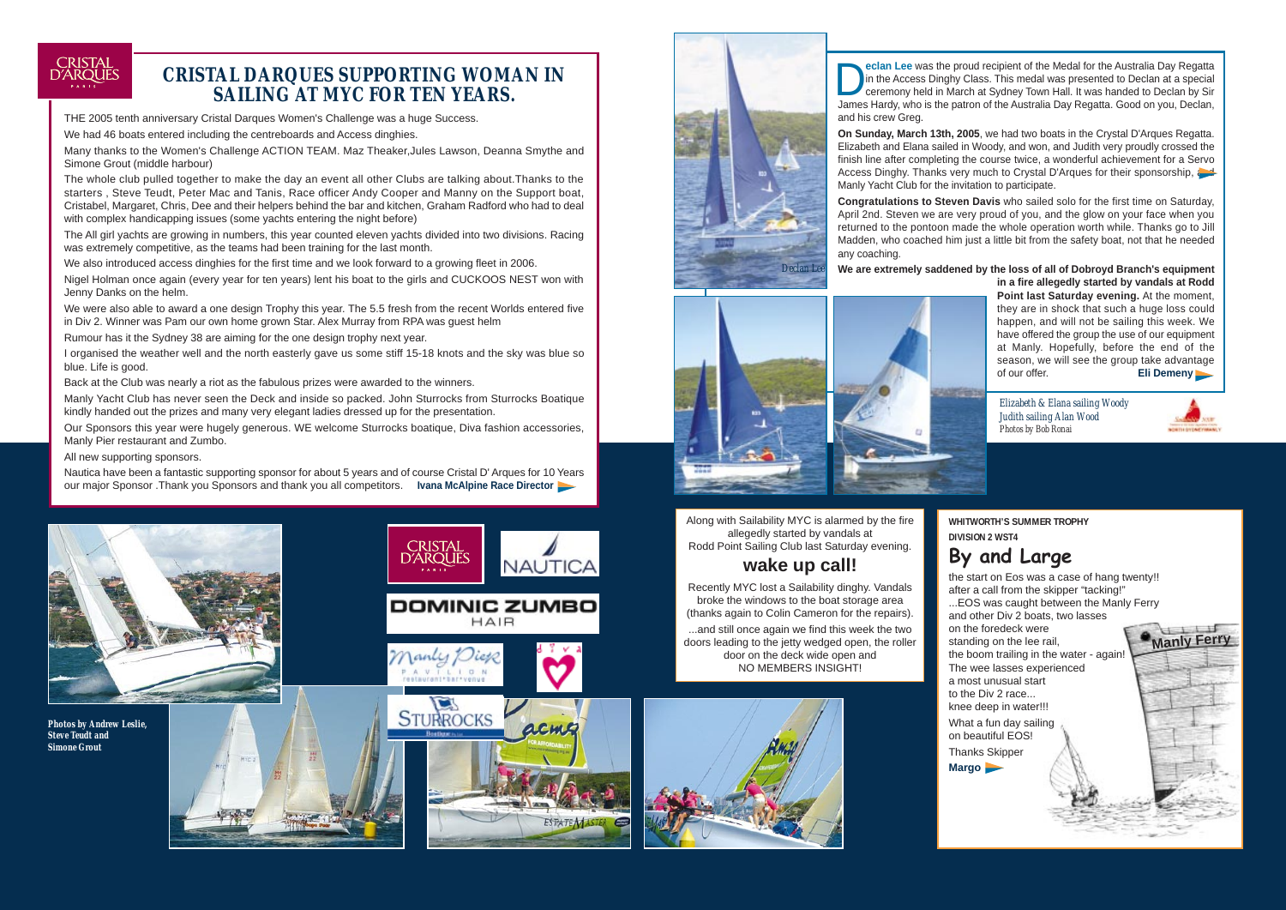**Eclan Lee** was the proud recipient of the Medal for the Australia Day Regatta<br>in the Access Dinghy Class. This medal was presented to Declan at a special<br>ceremony held in March at Sydney Town Hall. It was handed to Declan in the Access Dinghy Class. This medal was presented to Declan at a special James Hardy, who is the patron of the Australia Day Regatta. Good on you, Declan, and his crew Greg.

**On Sunday, March 13th, 2005**, we had two boats in the Crystal D'Arques Regatta. Elizabeth and Elana sailed in Woody, and won, and Judith very proudly crossed the finish line after completing the course twice, a wonderful achievement for a Servo Access Dinghy. Thanks very much to Crystal D'Arques for their sponsorship, Manly Yacht Club for the invitation to participate.

**Congratulations to Steven Davis** who sailed solo for the first time on Saturday, April 2nd. Steven we are very proud of you, and the glow on your face when you returned to the pontoon made the whole operation worth while. Thanks go to Jill Madden, who coached him just a little bit from the safety boat, not that he needed any coaching.

**We are extremely saddened by the loss of all of Dobroyd Branch's equipment in a fire allegedly started by vandals at Rodd Point last Saturday evening.** At the moment, they are in shock that such a huge loss could happen, and will not be sailing this week. We have offered the group the use of our equipment at Manly. Hopefully, before the end of the season, we will see the group take advantage of our offer. **Eli Demeny**





### **CRISTAL DARQUES SUPPORTING WOMAN IN SAILING AT MYC FOR TEN YEARS.**

THE 2005 tenth anniversary Cristal Darques Women's Challenge was a huge Success.

We had 46 boats entered including the centreboards and Access dinghies.

Many thanks to the Women's Challenge ACTION TEAM. Maz Theaker,Jules Lawson, Deanna Smythe and Simone Grout (middle harbour)

The whole club pulled together to make the day an event all other Clubs are talking about.Thanks to the starters , Steve Teudt, Peter Mac and Tanis, Race officer Andy Cooper and Manny on the Support boat, Cristabel, Margaret, Chris, Dee and their helpers behind the bar and kitchen, Graham Radford who had to deal with complex handicapping issues (some yachts entering the night before)

The All girl yachts are growing in numbers, this year counted eleven yachts divided into two divisions. Racing was extremely competitive, as the teams had been training for the last month.

We also introduced access dinghies for the first time and we look forward to a growing fleet in 2006.

Nigel Holman once again (every year for ten years) lent his boat to the girls and CUCKOOS NEST won with Jenny Danks on the helm.

We were also able to award a one design Trophy this year. The 5.5 fresh from the recent Worlds entered five in Div 2. Winner was Pam our own home grown Star. Alex Murray from RPA was guest helm

Rumour has it the Sydney 38 are aiming for the one design trophy next year.

I organised the weather well and the north easterly gave us some stiff 15-18 knots and the sky was blue so blue. Life is good.

Back at the Club was nearly a riot as the fabulous prizes were awarded to the winners.

Manly Yacht Club has never seen the Deck and inside so packed. John Sturrocks from Sturrocks Boatique kindly handed out the prizes and many very elegant ladies dressed up for the presentation.

Our Sponsors this year were hugely generous. WE welcome Sturrocks boatique, Diva fashion accessories, Manly Pier restaurant and Zumbo.

All new supporting sponsors.

Nautica have been a fantastic supporting sponsor for about 5 years and of course Cristal D' Arques for 10 Years our major Sponsor .Thank you Sponsors and thank you all competitors. **Ivana McAlpine Race Director** 

*Elizabeth & Elana sailing Woody Judith sailing Alan Wood Photos by Bob Ronai*







**WHITWORTH'S SUMMER TROPHY**

**DIVISION 2 WST4 By and Large** the start on Eos was a case of hang twenty!! after a call from the skipper "tacking!" ...EOS was caught between the Manly Ferry and other Div 2 boats, two lasses on the foredeck were  $1 - 1 - 1 - 1$ **h**<br>**Manly Ferry** standing on the lee rail, the boom trailing in the water - again! The wee lasses experienced a most unusual start to the Div 2 race... knee deep in water!!! What a fun day sailing on beautiful EOS! Thanks Skipper **Margo** 

Along with Sailability MYC is alarmed by the fire allegedly started by vandals at Rodd Point Sailing Club last Saturday evening.

### **wake up call!**

Recently MYC lost a Sailability dinghy. Vandals broke the windows to the boat storage area (thanks again to Colin Cameron for the repairs). ...and still once again we find this week the two doors leading to the jetty wedged open, the roller door on the deck wide open and NO MEMBERS INSIGHT!